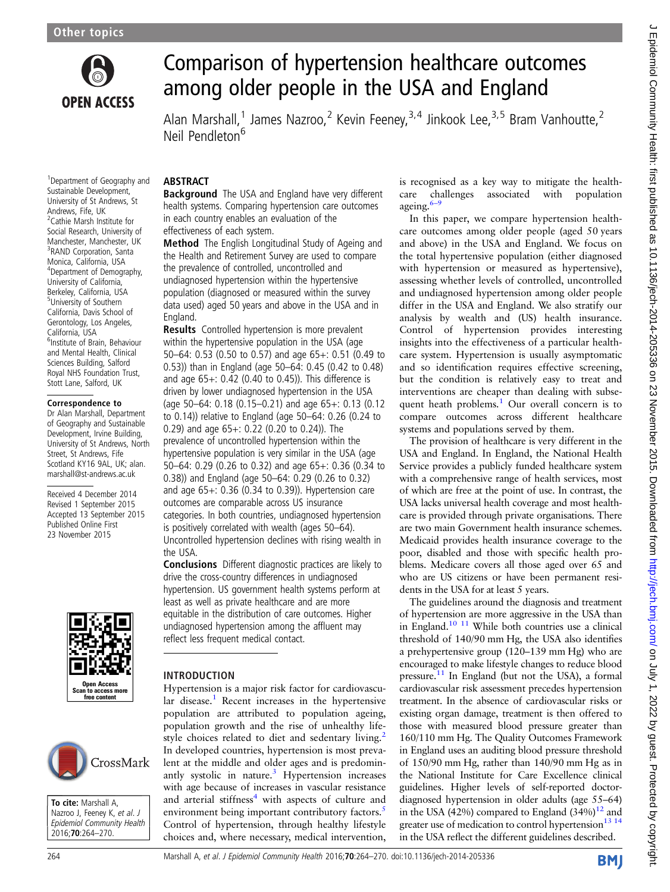

<sup>1</sup> Department of Geography and Sustainable Development, University of St Andrews, St Andrews, Fife, UK 2 Cathie Marsh Institute for Social Research, University of Manchester, Manchester, UK <sup>3</sup>RAND Corporation, Santa Monica, California, USA 4 Department of Demography, University of California, Berkeley, California, USA 5 University of Southern California, Davis School of Gerontology, Los Angeles, California, USA

6 Institute of Brain, Behaviour and Mental Health, Clinical Sciences Building, Salford Royal NHS Foundation Trust, Stott Lane, Salford, UK Correspondence to Dr Alan Marshall, Department of Geography and Sustainable Development, Irvine Building, University of St Andrews, North Street, St Andrews, Fife Scotland KY16 9AL, UK; alan. marshall@st-andrews.ac.uk Received 4 December 2014 Revised 1 September 2015 Accepted 13 September 2015 Published Online First 23 November 2015

# Comparison of hypertension healthcare outcomes among older people in the USA and England

Alan Marshall,<sup>1</sup> James Nazroo,<sup>2</sup> Kevin Feeney,<sup>3,4</sup> Jinkook Lee,<sup>3,5</sup> Bram Vanhoutte,<sup>2</sup> Neil Pendleton<sup>6</sup>

#### ABSTRACT

**Background** The USA and England have very different health systems. Comparing hypertension care outcomes in each country enables an evaluation of the effectiveness of each system.

Method The English Longitudinal Study of Ageing and the Health and Retirement Survey are used to compare the prevalence of controlled, uncontrolled and undiagnosed hypertension within the hypertensive population (diagnosed or measured within the survey data used) aged 50 years and above in the USA and in England.

Results Controlled hypertension is more prevalent within the hypertensive population in the USA (age 50–64: 0.53 (0.50 to 0.57) and age 65+: 0.51 (0.49 to 0.53)) than in England (age 50–64: 0.45 (0.42 to 0.48) and age 65+: 0.42 (0.40 to 0.45)). This difference is driven by lower undiagnosed hypertension in the USA (age 50–64: 0.18 (0.15–0.21) and age 65+: 0.13 (0.12 to 0.14)) relative to England (age 50–64: 0.26 (0.24 to 0.29) and age 65+: 0.22 (0.20 to 0.24)). The prevalence of uncontrolled hypertension within the hypertensive population is very similar in the USA (age 50–64: 0.29 (0.26 to 0.32) and age 65+: 0.36 (0.34 to 0.38)) and England (age 50–64: 0.29 (0.26 to 0.32) and age 65+: 0.36 (0.34 to 0.39)). Hypertension care outcomes are comparable across US insurance categories. In both countries, undiagnosed hypertension is positively correlated with wealth (ages 50–64). Uncontrolled hypertension declines with rising wealth in the USA.

Conclusions Different diagnostic practices are likely to drive the cross-country differences in undiagnosed hypertension. US government health systems perform at least as well as private healthcare and are more equitable in the distribution of care outcomes. Higher undiagnosed hypertension among the affluent may reflect less frequent medical contact.

Hypertension is a major risk factor for cardiovascu- $\text{lar disease.}$ <sup>[1](#page-5-0)</sup> Recent increases in the hypertensive population are attributed to population ageing, population growth and the rise of unhealthy life-style choices related to diet and sedentary living.<sup>[2](#page-5-0)</sup> In developed countries, hypertension is most prevalent at the middle and older ages and is predominantly systolic in nature.<sup>3</sup> Hypertension increases with age because of increases in vascular resistance and arterial stiffness $4$  with aspects of culture and environment being important contributory factors.<sup>[5](#page-5-0)</sup> Control of hypertension, through healthy lifestyle choices and, where necessary, medical intervention,

INTRODUCTION

# **Open Access** In to access more free content



To cite: Marshall A, Nazroo J, Feeney K, et al. J Epidemiol Community Health 2016;70:264–270.

#### is recognised as a key way to mitigate the healthcare challenges associated with population ageing. $6-9$

In this paper, we compare hypertension healthcare outcomes among older people (aged 50 years and above) in the USA and England. We focus on the total hypertensive population (either diagnosed with hypertension or measured as hypertensive), assessing whether levels of controlled, uncontrolled and undiagnosed hypertension among older people differ in the USA and England. We also stratify our analysis by wealth and (US) health insurance. Control of hypertension provides interesting insights into the effectiveness of a particular healthcare system. Hypertension is usually asymptomatic and so identification requires effective screening, but the condition is relatively easy to treat and interventions are cheaper than dealing with subse-quent heath problems.<sup>[1](#page-5-0)</sup> Our overall concern is to compare outcomes across different healthcare systems and populations served by them.

The provision of healthcare is very different in the USA and England. In England, the National Health Service provides a publicly funded healthcare system with a comprehensive range of health services, most of which are free at the point of use. In contrast, the USA lacks universal health coverage and most healthcare is provided through private organisations. There are two main Government health insurance schemes. Medicaid provides health insurance coverage to the poor, disabled and those with specific health problems. Medicare covers all those aged over 65 and who are US citizens or have been permanent residents in the USA for at least 5 years.

The guidelines around the diagnosis and treatment of hypertension are more aggressive in the USA than in England[.10 11](#page-5-0) While both countries use a clinical threshold of 140/90 mm Hg, the USA also identifies a prehypertensive group (120–139 mm Hg) who are encouraged to make lifestyle changes to reduce blood pressure[.11](#page-5-0) In England (but not the USA), a formal cardiovascular risk assessment precedes hypertension treatment. In the absence of cardiovascular risks or existing organ damage, treatment is then offered to those with measured blood pressure greater than 160/110 mm Hg. The Quality Outcomes Framework in England uses an auditing blood pressure threshold of 150/90 mm Hg, rather than 140/90 mm Hg as in the National Institute for Care Excellence clinical guidelines. Higher levels of self-reported doctordiagnosed hypertension in older adults (age 55–64) in the USA (42%) compared to England  $(34%)^{12}$  $(34%)^{12}$  $(34%)^{12}$  and greater use of medication to control hypertension<sup>[13](#page-5-0) [14](#page-6-0)</sup> in the USA reflect the different guidelines described.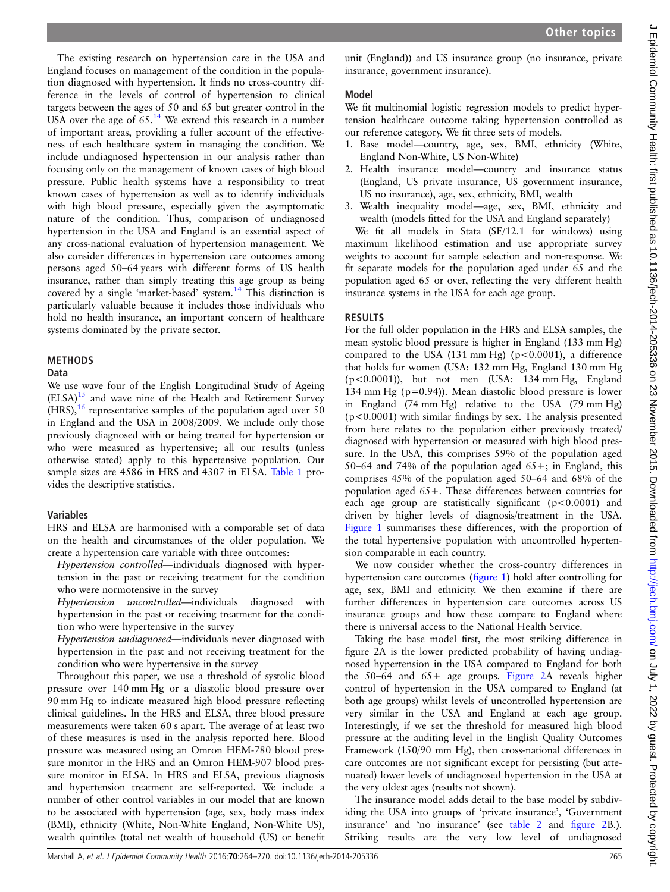The existing research on hypertension care in the USA and England focuses on management of the condition in the population diagnosed with hypertension. It finds no cross-country difference in the levels of control of hypertension to clinical targets between the ages of 50 and 65 but greater control in the USA over the age of  $65.^{14}$  $65.^{14}$  $65.^{14}$  We extend this research in a number of important areas, providing a fuller account of the effectiveness of each healthcare system in managing the condition. We include undiagnosed hypertension in our analysis rather than focusing only on the management of known cases of high blood pressure. Public health systems have a responsibility to treat known cases of hypertension as well as to identify individuals with high blood pressure, especially given the asymptomatic nature of the condition. Thus, comparison of undiagnosed hypertension in the USA and England is an essential aspect of any cross-national evaluation of hypertension management. We also consider differences in hypertension care outcomes among persons aged 50–64 years with different forms of US health insurance, rather than simply treating this age group as being covered by a single 'market-based' system.<sup>[14](#page-6-0)</sup> This distinction is particularly valuable because it includes those individuals who hold no health insurance, an important concern of healthcare systems dominated by the private sector.

# METHODS

## Data

We use wave four of the English Longitudinal Study of Ageing  $(ELSA)^{15}$  $(ELSA)^{15}$  $(ELSA)^{15}$  and wave nine of the Health and Retirement Survey  $(HRS),<sup>16</sup>$  representative samples of the population aged over 50 in England and the USA in 2008/2009. We include only those previously diagnosed with or being treated for hypertension or who were measured as hypertensive; all our results (unless otherwise stated) apply to this hypertensive population. Our sample sizes are 4586 in HRS and 4307 in ELSA. [Table 1](#page-2-0) provides the descriptive statistics.

## Variables

HRS and ELSA are harmonised with a comparable set of data on the health and circumstances of the older population. We create a hypertension care variable with three outcomes:

Hypertension controlled—individuals diagnosed with hypertension in the past or receiving treatment for the condition who were normotensive in the survey

Hypertension uncontrolled—individuals diagnosed with hypertension in the past or receiving treatment for the condition who were hypertensive in the survey

Hypertension undiagnosed—individuals never diagnosed with hypertension in the past and not receiving treatment for the condition who were hypertensive in the survey

Throughout this paper, we use a threshold of systolic blood pressure over 140 mm Hg or a diastolic blood pressure over 90 mm Hg to indicate measured high blood pressure reflecting clinical guidelines. In the HRS and ELSA, three blood pressure measurements were taken 60 s apart. The average of at least two of these measures is used in the analysis reported here. Blood pressure was measured using an Omron HEM-780 blood pressure monitor in the HRS and an Omron HEM-907 blood pressure monitor in ELSA. In HRS and ELSA, previous diagnosis and hypertension treatment are self-reported. We include a number of other control variables in our model that are known to be associated with hypertension (age, sex, body mass index (BMI), ethnicity (White, Non-White England, Non-White US), wealth quintiles (total net wealth of household (US) or benefit

unit (England)) and US insurance group (no insurance, private insurance, government insurance).

# Model

We fit multinomial logistic regression models to predict hypertension healthcare outcome taking hypertension controlled as our reference category. We fit three sets of models.

- 1. Base model—country, age, sex, BMI, ethnicity (White, England Non-White, US Non-White)
- 2. Health insurance model—country and insurance status (England, US private insurance, US government insurance, US no insurance), age, sex, ethnicity, BMI, wealth
- 3. Wealth inequality model—age, sex, BMI, ethnicity and wealth (models fitted for the USA and England separately)

We fit all models in Stata (SE/12.1 for windows) using maximum likelihood estimation and use appropriate survey weights to account for sample selection and non-response. We fit separate models for the population aged under 65 and the population aged 65 or over, reflecting the very different health insurance systems in the USA for each age group.

# RESULTS

For the full older population in the HRS and ELSA samples, the mean systolic blood pressure is higher in England (133 mm Hg) compared to the USA (131 mm Hg) (p<0.0001), a difference that holds for women (USA: 132 mm Hg, England 130 mm Hg (p<0.0001)), but not men (USA: 134 mm Hg, England 134 mm Hg (p=0.94)). Mean diastolic blood pressure is lower in England (74 mm Hg) relative to the USA (79 mm Hg) (p<0.0001) with similar findings by sex. The analysis presented from here relates to the population either previously treated/ diagnosed with hypertension or measured with high blood pressure. In the USA, this comprises 59% of the population aged 50–64 and 74% of the population aged  $65+$ ; in England, this comprises 45% of the population aged 50–64 and 68% of the population aged 65+. These differences between countries for each age group are statistically significant (p<0.0001) and driven by higher levels of diagnosis/treatment in the USA. [Figure 1](#page-3-0) summarises these differences, with the proportion of the total hypertensive population with uncontrolled hypertension comparable in each country.

We now consider whether the cross-country differences in hypertension care outcomes (fi[gure 1](#page-3-0)) hold after controlling for age, sex, BMI and ethnicity. We then examine if there are further differences in hypertension care outcomes across US insurance groups and how these compare to England where there is universal access to the National Health Service.

Taking the base model first, the most striking difference in figure 2A is the lower predicted probability of having undiagnosed hypertension in the USA compared to England for both the 50–64 and 65+ age groups. [Figure 2A](#page-3-0) reveals higher control of hypertension in the USA compared to England (at both age groups) whilst levels of uncontrolled hypertension are very similar in the USA and England at each age group. Interestingly, if we set the threshold for measured high blood pressure at the auditing level in the English Quality Outcomes Framework (150/90 mm Hg), then cross-national differences in care outcomes are not significant except for persisting (but attenuated) lower levels of undiagnosed hypertension in the USA at the very oldest ages (results not shown).

The insurance model adds detail to the base model by subdividing the USA into groups of 'private insurance', 'Government insurance' and 'no insurance' (see [table 2](#page-4-0) and fi[gure 2](#page-3-0)B.). Striking results are the very low level of undiagnosed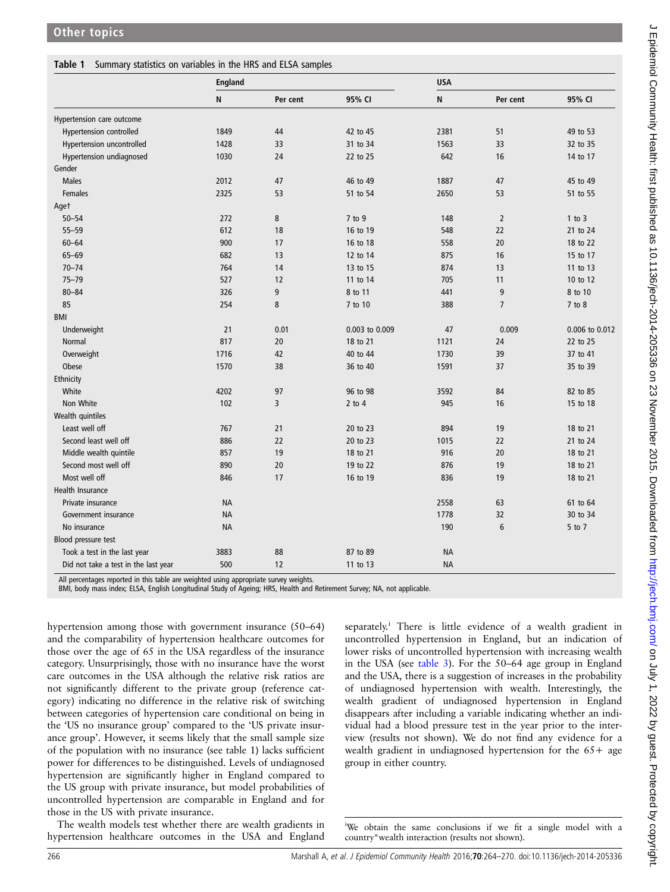#### <span id="page-2-0"></span>Table 1 Summary statistics on variables in the HRS and ELSA samples

|                                      | <b>England</b> |          |                | <b>USA</b> |                |                |  |
|--------------------------------------|----------------|----------|----------------|------------|----------------|----------------|--|
|                                      | N              | Per cent | 95% CI         | N          | Per cent       | 95% CI         |  |
| Hypertension care outcome            |                |          |                |            |                |                |  |
| Hypertension controlled              | 1849           | 44       | 42 to 45       | 2381       | 51             | 49 to 53       |  |
| Hypertension uncontrolled            | 1428           | 33       | 31 to 34       | 1563       | 33             | 32 to 35       |  |
| Hypertension undiagnosed             | 1030           | 24       | 22 to 25       | 642        | 16             | 14 to 17       |  |
| Gender                               |                |          |                |            |                |                |  |
| <b>Males</b>                         | 2012           | 47       | 46 to 49       | 1887       | 47             | 45 to 49       |  |
| <b>Females</b>                       | 2325           | 53       | 51 to 54       | 2650       | 53             | 51 to 55       |  |
| Aget                                 |                |          |                |            |                |                |  |
| $50 - 54$                            | 272            | 8        | 7 to 9         | 148        | $\overline{2}$ | $1$ to $3$     |  |
| $55 - 59$                            | 612            | 18       | 16 to 19       | 548        | 22             | 21 to 24       |  |
| $60 - 64$                            | 900            | 17       | 16 to 18       | 558        | 20             | 18 to 22       |  |
| $65 - 69$                            | 682            | 13       | 12 to 14       | 875        | 16             | 15 to 17       |  |
| $70 - 74$                            | 764            | 14       | 13 to 15       | 874        | 13             | 11 to 13       |  |
| $75 - 79$                            | 527            | 12       | 11 to 14       | 705        | 11             | 10 to 12       |  |
| $80 - 84$                            | 326            | 9        | 8 to 11        | 441        | 9              | 8 to 10        |  |
| 85                                   | 254            | 8        | 7 to 10        | 388        | $\overline{7}$ | 7 to 8         |  |
| <b>BMI</b>                           |                |          |                |            |                |                |  |
| Underweight                          | 21             | 0.01     | 0.003 to 0.009 | 47         | 0.009          | 0.006 to 0.012 |  |
| Normal                               | 817            | 20       | 18 to 21       | 1121       | 24             | 22 to 25       |  |
| Overweight                           | 1716           | 42       | 40 to 44       | 1730       | 39             | 37 to 41       |  |
| Obese                                | 1570           | 38       | 36 to 40       | 1591       | 37             | 35 to 39       |  |
| Ethnicity                            |                |          |                |            |                |                |  |
| White                                | 4202           | 97       | 96 to 98       | 3592       | 84             | 82 to 85       |  |
| Non White                            | 102            | 3        | $2$ to $4$     | 945        | 16             | 15 to 18       |  |
| Wealth quintiles                     |                |          |                |            |                |                |  |
| Least well off                       | 767            | 21       | 20 to 23       | 894        | 19             | 18 to 21       |  |
| Second least well off                | 886            | 22       | 20 to 23       | 1015       | 22             | 21 to 24       |  |
| Middle wealth quintile               | 857            | 19       | 18 to 21       | 916        | 20             | 18 to 21       |  |
| Second most well off                 | 890            | 20       | 19 to 22       | 876        | 19             | 18 to 21       |  |
| Most well off                        | 846            | 17       | 16 to 19       | 836        | 19             | 18 to 21       |  |
| <b>Health Insurance</b>              |                |          |                |            |                |                |  |
| Private insurance                    | <b>NA</b>      |          |                | 2558       | 63             | 61 to 64       |  |
| Government insurance                 | <b>NA</b>      |          |                | 1778       | 32             | 30 to 34       |  |
| No insurance                         | <b>NA</b>      |          |                | 190        | 6              | 5 to 7         |  |
| Blood pressure test                  |                |          |                |            |                |                |  |
| Took a test in the last year         | 3883           | 88       | 87 to 89       | <b>NA</b>  |                |                |  |
| Did not take a test in the last year | 500            | 12       | 11 to 13       | <b>NA</b>  |                |                |  |

All percentages reported in this table are weighted using appropriate survey weights.

BMI, body mass index; ELSA, English Longitudinal Study of Ageing; HRS, Health and Retirement Survey; NA, not applicable.

hypertension among those with government insurance (50–64) and the comparability of hypertension healthcare outcomes for those over the age of 65 in the USA regardless of the insurance category. Unsurprisingly, those with no insurance have the worst care outcomes in the USA although the relative risk ratios are not significantly different to the private group (reference category) indicating no difference in the relative risk of switching between categories of hypertension care conditional on being in the 'US no insurance group' compared to the 'US private insurance group'. However, it seems likely that the small sample size of the population with no insurance (see table 1) lacks sufficient power for differences to be distinguished. Levels of undiagnosed hypertension are significantly higher in England compared to the US group with private insurance, but model probabilities of uncontrolled hypertension are comparable in England and for those in the US with private insurance.

The wealth models test whether there are wealth gradients in hypertension healthcare outcomes in the USA and England separately.<sup>i</sup> There is little evidence of a wealth gradient in uncontrolled hypertension in England, but an indication of lower risks of uncontrolled hypertension with increasing wealth in the USA (see [table 3\)](#page-4-0). For the 50–64 age group in England and the USA, there is a suggestion of increases in the probability of undiagnosed hypertension with wealth. Interestingly, the wealth gradient of undiagnosed hypertension in England disappears after including a variable indicating whether an individual had a blood pressure test in the year prior to the interview (results not shown). We do not find any evidence for a wealth gradient in undiagnosed hypertension for the  $65+$  age group in either country.

<sup>i</sup>We obtain the same conclusions if we fit a single model with a country\*wealth interaction (results not shown).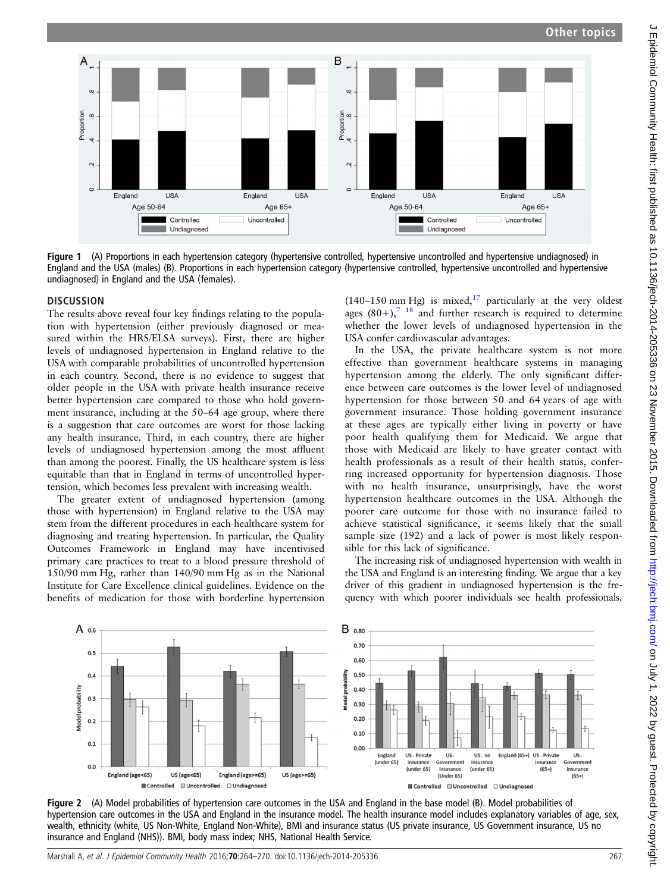<span id="page-3-0"></span>

Figure 1 (A) Proportions in each hypertension category (hypertensive controlled, hypertensive uncontrolled and hypertensive undiagnosed) in England and the USA (males) (B). Proportions in each hypertension category (hypertensive controlled, hypertensive uncontrolled and hypertensive undiagnosed) in England and the USA (females).

## **DISCUSSION**

The results above reveal four key findings relating to the population with hypertension (either previously diagnosed or measured within the HRS/ELSA surveys). First, there are higher levels of undiagnosed hypertension in England relative to the USA with comparable probabilities of uncontrolled hypertension in each country. Second, there is no evidence to suggest that older people in the USA with private health insurance receive better hypertension care compared to those who hold government insurance, including at the 50–64 age group, where there is a suggestion that care outcomes are worst for those lacking any health insurance. Third, in each country, there are higher levels of undiagnosed hypertension among the most affluent than among the poorest. Finally, the US healthcare system is less equitable than that in England in terms of uncontrolled hypertension, which becomes less prevalent with increasing wealth.

The greater extent of undiagnosed hypertension (among those with hypertension) in England relative to the USA may stem from the different procedures in each healthcare system for diagnosing and treating hypertension. In particular, the Quality Outcomes Framework in England may have incentivised primary care practices to treat to a blood pressure threshold of 150/90 mm Hg, rather than 140/90 mm Hg as in the National Institute for Care Excellence clinical guidelines. Evidence on the benefits of medication for those with borderline hypertension

 $(140-150 \text{ mm Hg})$  is mixed,<sup>[17](#page-6-0)</sup> particularly at the very oldest ages  $(80+)$ ,<sup>[7](#page-5-0)</sup> <sup>18</sup> and further research is required to determine whether the lower levels of undiagnosed hypertension in the USA confer cardiovascular advantages.

In the USA, the private healthcare system is not more effective than government healthcare systems in managing hypertension among the elderly. The only significant difference between care outcomes is the lower level of undiagnosed hypertension for those between 50 and 64 years of age with government insurance. Those holding government insurance at these ages are typically either living in poverty or have poor health qualifying them for Medicaid. We argue that those with Medicaid are likely to have greater contact with health professionals as a result of their health status, conferring increased opportunity for hypertension diagnosis. Those with no health insurance, unsurprisingly, have the worst hypertension healthcare outcomes in the USA. Although the poorer care outcome for those with no insurance failed to achieve statistical significance, it seems likely that the small sample size (192) and a lack of power is most likely responsible for this lack of significance.

The increasing risk of undiagnosed hypertension with wealth in the USA and England is an interesting finding. We argue that a key driver of this gradient in undiagnosed hypertension is the frequency with which poorer individuals see health professionals.





Marshall A, et al. J Epidemiol Community Health 2016;70:264-270. doi:10.1136/jech-2014-205336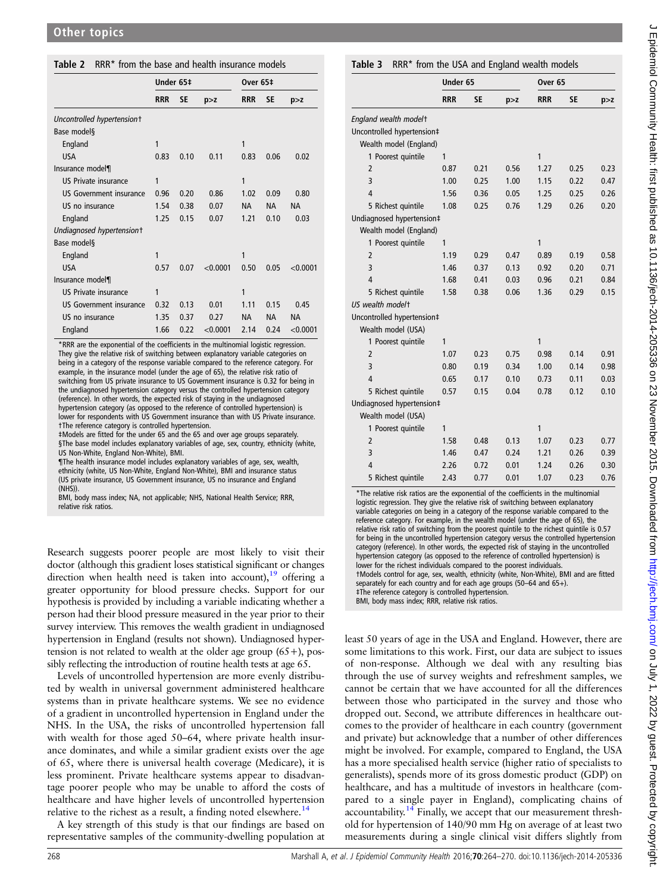#### <span id="page-4-0"></span>Table 2 RRR\* from the base and health insurance models

|                                | Under 65‡  |      |          | Over 65‡   |           |           |
|--------------------------------|------------|------|----------|------------|-----------|-----------|
|                                | <b>RRR</b> | SE   | p > z    | <b>RRR</b> | SE        | p > z     |
| Uncontrolled hypertensiont     |            |      |          |            |           |           |
| Base model§                    |            |      |          |            |           |           |
| England                        | 1          |      |          | 1          |           |           |
| <b>USA</b>                     | 0.83       | 0.10 | 0.11     | 0.83       | 0.06      | 0.02      |
| Insurance model¶               |            |      |          |            |           |           |
| US Private insurance           | 1          |      |          | 1          |           |           |
| <b>US Government insurance</b> | 0.96       | 0.20 | 0.86     | 1.02       | 0.09      | 0.80      |
| US no insurance                | 1.54       | 0.38 | 0.07     | <b>NA</b>  | <b>NA</b> | <b>NA</b> |
| England                        | 1.25       | 0.15 | 0.07     | 1.21       | 0.10      | 0.03      |
| Undiagnosed hypertension+      |            |      |          |            |           |           |
| Base model§                    |            |      |          |            |           |           |
| England                        | 1          |      |          | 1          |           |           |
| <b>USA</b>                     | 0.57       | 0.07 | < 0.0001 | 0.50       | 0.05      | < 0.0001  |
| Insurance model¶               |            |      |          |            |           |           |
| US Private insurance           | 1          |      |          | 1          |           |           |
| US Government insurance        | 0.32       | 0.13 | 0.01     | 1.11       | 0.15      | 0.45      |
| US no insurance                | 1.35       | 0.37 | 0.27     | NА         | <b>NA</b> | <b>NA</b> |
| England                        | 1.66       | 0.22 | < 0.0001 | 2.14       | 0.24      | < 0.0001  |

\*RRR are the exponential of the coefficients in the multinomial logistic regression. They give the relative risk of switching between explanatory variable categories on being in a category of the response variable compared to the reference category. For example, in the insurance model (under the age of 65), the relative risk ratio of switching from US private insurance to US Government insurance is 0.32 for being in the undiagnosed hypertension category versus the controlled hypertension category (reference). In other words, the expected risk of staying in the undiagnosed hypertension category (as opposed to the reference of controlled hypertension) is lower for respondents with US Government insurance than with US Private insurance. †The reference category is controlled hypertension.

‡Models are fitted for the under 65 and the 65 and over age groups separately. §The base model includes explanatory variables of age, sex, country, ethnicity (white, US Non-White, England Non-White), BMI.

¶The health insurance model includes explanatory variables of age, sex, wealth, ethnicity (white, US Non-White, England Non-White), BMI and insurance status (US private insurance, US Government insurance, US no insurance and England (NHS)).

BMI, body mass index; NA, not applicable; NHS, National Health Service; RRR, relative risk ratios.

Research suggests poorer people are most likely to visit their doctor (although this gradient loses statistical significant or changes direction when health need is taken into account),  $19$  offering a greater opportunity for blood pressure checks. Support for our hypothesis is provided by including a variable indicating whether a person had their blood pressure measured in the year prior to their survey interview. This removes the wealth gradient in undiagnosed hypertension in England (results not shown). Undiagnosed hypertension is not related to wealth at the older age group  $(65+)$ , possibly reflecting the introduction of routine health tests at age 65.

Levels of uncontrolled hypertension are more evenly distributed by wealth in universal government administered healthcare systems than in private healthcare systems. We see no evidence of a gradient in uncontrolled hypertension in England under the NHS. In the USA, the risks of uncontrolled hypertension fall with wealth for those aged 50–64, where private health insurance dominates, and while a similar gradient exists over the age of 65, where there is universal health coverage (Medicare), it is less prominent. Private healthcare systems appear to disadvantage poorer people who may be unable to afford the costs of healthcare and have higher levels of uncontrolled hypertension relative to the richest as a result, a finding noted elsewhere.<sup>[14](#page-6-0)</sup>

A key strength of this study is that our findings are based on representative samples of the community-dwelling population at

#### Table 3 RRR\* from the USA and England wealth models

|                            |            | Under 65  |       |              | Over 65   |       |  |
|----------------------------|------------|-----------|-------|--------------|-----------|-------|--|
|                            | <b>RRR</b> | <b>SE</b> | p > z | <b>RRR</b>   | <b>SE</b> | p > z |  |
| England wealth modelt      |            |           |       |              |           |       |  |
| Uncontrolled hypertension# |            |           |       |              |           |       |  |
| Wealth model (England)     |            |           |       |              |           |       |  |
| 1 Poorest quintile         | 1          |           |       | $\mathbf{1}$ |           |       |  |
| $\overline{2}$             | 0.87       | 0.21      | 0.56  | 1.27         | 0.25      | 0.23  |  |
| 3                          | 1.00       | 0.25      | 1.00  | 1.15         | 0.22      | 0.47  |  |
| $\overline{4}$             | 1.56       | 0.36      | 0.05  | 1.25         | 0.25      | 0.26  |  |
| 5 Richest quintile         | 1.08       | 0.25      | 0.76  | 1.29         | 0.26      | 0.20  |  |
| Undiagnosed hypertension‡  |            |           |       |              |           |       |  |
| Wealth model (England)     |            |           |       |              |           |       |  |
| 1 Poorest quintile         | 1          |           |       | $\mathbf{1}$ |           |       |  |
| $\overline{2}$             | 1.19       | 0.29      | 0.47  | 0.89         | 0.19      | 0.58  |  |
| $\overline{3}$             | 1.46       | 0.37      | 0.13  | 0.92         | 0.20      | 0.71  |  |
| $\overline{4}$             | 1.68       | 0.41      | 0.03  | 0.96         | 0.21      | 0.84  |  |
| 5 Richest quintile         | 1.58       | 0.38      | 0.06  | 1.36         | 0.29      | 0.15  |  |
| US wealth modelt           |            |           |       |              |           |       |  |
| Uncontrolled hypertension‡ |            |           |       |              |           |       |  |
| Wealth model (USA)         |            |           |       |              |           |       |  |
| 1 Poorest quintile         | 1          |           |       | $\mathbf{1}$ |           |       |  |
| $\overline{2}$             | 1.07       | 0.23      | 0.75  | 0.98         | 0.14      | 0.91  |  |
| 3                          | 0.80       | 0.19      | 0.34  | 1.00         | 0.14      | 0.98  |  |
| $\overline{4}$             | 0.65       | 0.17      | 0.10  | 0.73         | 0.11      | 0.03  |  |
| 5 Richest quintile         | 0.57       | 0.15      | 0.04  | 0.78         | 0.12      | 0.10  |  |
| Undiagnosed hypertension‡  |            |           |       |              |           |       |  |
| Wealth model (USA)         |            |           |       |              |           |       |  |
| 1 Poorest quintile         | 1          |           |       | 1            |           |       |  |
| $\overline{2}$             | 1.58       | 0.48      | 0.13  | 1.07         | 0.23      | 0.77  |  |
| 3                          | 1.46       | 0.47      | 0.24  | 1.21         | 0.26      | 0.39  |  |
| $\overline{4}$             | 2.26       | 0.72      | 0.01  | 1.24         | 0.26      | 0.30  |  |
| 5 Richest quintile         | 2.43       | 0.77      | 0.01  | 1.07         | 0.23      | 0.76  |  |

\*The relative risk ratios are the exponential of the coefficients in the multinomial logistic regression. They give the relative risk of switching between explanatory variable categories on being in a category of the response variable compared to the reference category. For example, in the wealth model (under the age of 65), the relative risk ratio of switching from the poorest quintile to the richest quintile is 0.57 for being in the uncontrolled hypertension category versus the controlled hypertension category (reference). In other words, the expected risk of staying in the uncontrolled hypertension category (as opposed to the reference of controlled hypertension) is lower for the richest individuals compared to the poorest individuals. †Models control for age, sex, wealth, ethnicity (white, Non-White), BMI and are fitted separately for each country and for each age groups (50–64 and 65+). ‡The reference category is controlled hypertension. BMI, body mass index; RRR, relative risk ratios.

least 50 years of age in the USA and England. However, there are some limitations to this work. First, our data are subject to issues of non-response. Although we deal with any resulting bias through the use of survey weights and refreshment samples, we cannot be certain that we have accounted for all the differences between those who participated in the survey and those who dropped out. Second, we attribute differences in healthcare outcomes to the provider of healthcare in each country (government and private) but acknowledge that a number of other differences might be involved. For example, compared to England, the USA has a more specialised health service (higher ratio of specialists to generalists), spends more of its gross domestic product (GDP) on healthcare, and has a multitude of investors in healthcare (compared to a single payer in England), complicating chains of accountability.<sup>[14](#page-6-0)</sup> Finally, we accept that our measurement threshold for hypertension of 140/90 mm Hg on average of at least two measurements during a single clinical visit differs slightly from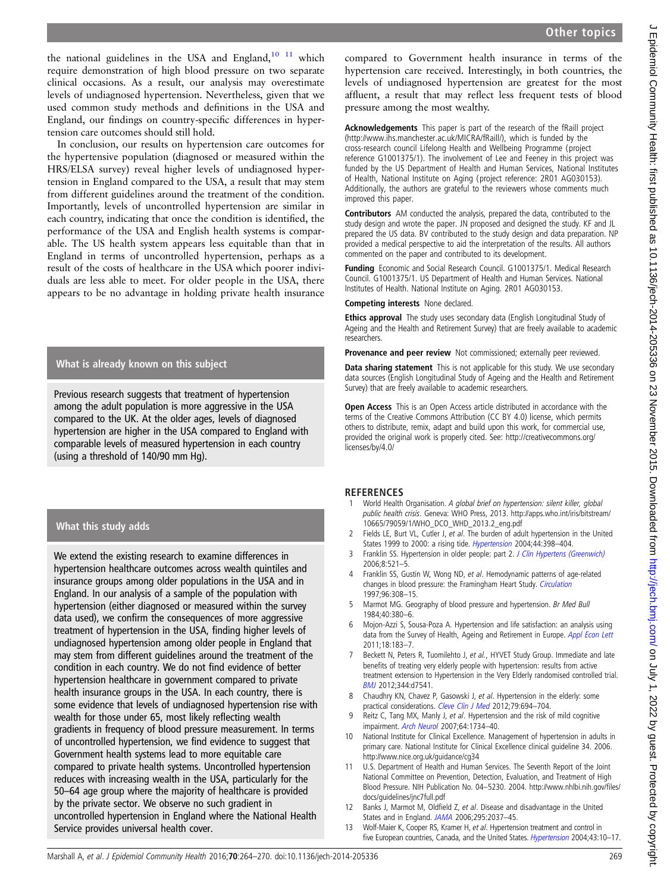<span id="page-5-0"></span>the national guidelines in the USA and England, $10^{-11}$  which require demonstration of high blood pressure on two separate clinical occasions. As a result, our analysis may overestimate levels of undiagnosed hypertension. Nevertheless, given that we used common study methods and definitions in the USA and England, our findings on country-specific differences in hypertension care outcomes should still hold.

In conclusion, our results on hypertension care outcomes for the hypertensive population (diagnosed or measured within the HRS/ELSA survey) reveal higher levels of undiagnosed hypertension in England compared to the USA, a result that may stem from different guidelines around the treatment of the condition. Importantly, levels of uncontrolled hypertension are similar in each country, indicating that once the condition is identified, the performance of the USA and English health systems is comparable. The US health system appears less equitable than that in England in terms of uncontrolled hypertension, perhaps as a result of the costs of healthcare in the USA which poorer individuals are less able to meet. For older people in the USA, there appears to be no advantage in holding private health insurance

## What is already known on this subject

Previous research suggests that treatment of hypertension among the adult population is more aggressive in the USA compared to the UK. At the older ages, levels of diagnosed hypertension are higher in the USA compared to England with comparable levels of measured hypertension in each country (using a threshold of 140/90 mm Hg).

# What this study adds

We extend the existing research to examine differences in hypertension healthcare outcomes across wealth quintiles and insurance groups among older populations in the USA and in England. In our analysis of a sample of the population with hypertension (either diagnosed or measured within the survey data used), we confirm the consequences of more aggressive treatment of hypertension in the USA, finding higher levels of undiagnosed hypertension among older people in England that may stem from different guidelines around the treatment of the condition in each country. We do not find evidence of better hypertension healthcare in government compared to private health insurance groups in the USA. In each country, there is some evidence that levels of undiagnosed hypertension rise with wealth for those under 65, most likely reflecting wealth gradients in frequency of blood pressure measurement. In terms of uncontrolled hypertension, we find evidence to suggest that Government health systems lead to more equitable care compared to private health systems. Uncontrolled hypertension reduces with increasing wealth in the USA, particularly for the 50–64 age group where the majority of healthcare is provided by the private sector. We observe no such gradient in uncontrolled hypertension in England where the National Health Service provides universal health cover.

compared to Government health insurance in terms of the hypertension care received. Interestingly, in both countries, the levels of undiagnosed hypertension are greatest for the most affluent, a result that may reflect less frequent tests of blood pressure among the most wealthy.

Acknowledgements This paper is part of the research of the fRaill project (<http://www.ihs.manchester.ac.uk/MICRA/fRaill/>), which is funded by the cross-research council Lifelong Health and Wellbeing Programme (project reference G1001375/1). The involvement of Lee and Feeney in this project was funded by the US Department of Health and Human Services, National Institutes of Health, National Institute on Aging (project reference: 2R01 AG030153). Additionally, the authors are grateful to the reviewers whose comments much improved this paper.

Contributors AM conducted the analysis, prepared the data, contributed to the study design and wrote the paper. JN proposed and designed the study. KF and JL prepared the US data. BV contributed to the study design and data preparation. NP provided a medical perspective to aid the interpretation of the results. All authors commented on the paper and contributed to its development.

Funding Economic and Social Research Council. G1001375/1. Medical Research Council. G1001375/1. US Department of Health and Human Services. National Institutes of Health. National Institute on Aging. 2R01 AG030153.

Competing interests None declared.

Ethics approval The study uses secondary data (English Longitudinal Study of Ageing and the Health and Retirement Survey) that are freely available to academic researchers.

Provenance and peer review Not commissioned; externally peer reviewed.

Data sharing statement This is not applicable for this study. We use secondary data sources (English Longitudinal Study of Ageing and the Health and Retirement Survey) that are freely available to academic researchers.

Open Access This is an Open Access article distributed in accordance with the terms of the Creative Commons Attribution (CC BY 4.0) license, which permits others to distribute, remix, adapt and build upon this work, for commercial use, provided the original work is properly cited. See: [http://creativecommons.org/](http://creativecommons.org/licenses/by/4.0/) [licenses/by/4.0/](http://creativecommons.org/licenses/by/4.0/)

## **REFERENCES**

- 1 World Health Organisation. A global brief on hypertension: silent killer, global public health crisis. Geneva: WHO Press, 2013. [http://apps.who.int/iris/bitstream/](http://apps.who.int/iris/bitstream/10665/79059/1/WHO_DCO_WHD_2013.2_eng.pdf) [10665/79059/1/WHO\\_DCO\\_WHD\\_2013.2\\_eng.pdf](http://apps.who.int/iris/bitstream/10665/79059/1/WHO_DCO_WHD_2013.2_eng.pdf)
- 2 Fields LE, Burt VL, Cutler J, et al. The burden of adult hypertension in the United States 1999 to 2000: a rising tide. [Hypertension](http://dx.doi.org/10.1161/01.HYP.0000142248.54761.56) 2004;44:398-404.
- 3 Franklin SS. Hypertension in older people: part 2. [J Clin Hypertens \(Greenwich\)](http://dx.doi.org/10.1111/j.1524-6175.2006.05116.x) 2006;8:521–5.
- Franklin SS, Gustin W, Wong ND, et al. Hemodynamic patterns of age-related changes in blood pressure: the Framingham Heart Study. [Circulation](http://dx.doi.org/10.1161/01.CIR.96.1.308) 1997;96:308–15.
- 5 Marmot MG. Geography of blood pressure and hypertension. Br Med Bull 1984;40:380–6.
- 6 Mojon-Azzi S, Sousa-Poza A. Hypertension and life satisfaction: an analysis using data from the Survey of Health, Ageing and Retirement in Europe. [Appl Econ Lett](http://dx.doi.org/10.1080/13504850903508291) 2011;18:183–7.
- 7 Beckett N, Peters R, Tuomilehto J, et al., HYVET Study Group. Immediate and late benefits of treating very elderly people with hypertension: results from active treatment extension to Hypertension in the Very Elderly randomised controlled trial. [BMJ](http://dx.doi.org/10.1136/bmj.d7541) 2012;344:d7541.
- 8 Chaudhry KN, Chavez P, Gasowski J, et al. Hypertension in the elderly: some practical considerations. [Cleve Clin J Med](http://dx.doi.org/10.3949/ccjm.79a.12017) 2012;79:694-704.
- 9 Reitz C, Tang MX, Manly J, et al. Hypertension and the risk of mild cognitive impairment. [Arch Neurol](http://dx.doi.org/10.1001/archneur.64.12.1734) 2007;64:1734–40.
- 10 National Institute for Clinical Excellence. Management of hypertension in adults in primary care. National Institute for Clinical Excellence clinical guideline 34. 2006. <http://www.nice.org.uk/guidance/cg34>
- 11 U.S. Department of Health and Human Services. The Seventh Report of the Joint National Committee on Prevention, Detection, Evaluation, and Treatment of High Blood Pressure. NIH Publication No. 04–5230. 2004. [http://www.nhlbi.nih.gov/](http://www.nhlbi.nih.gov/files/docs/guidelines/jnc7full.pdf)files/ [docs/guidelines/jnc7full.pdf](http://www.nhlbi.nih.gov/files/docs/guidelines/jnc7full.pdf)
- 12 Banks J, Marmot M, Oldfield Z, et al. Disease and disadvantage in the United States and in England. [JAMA](http://dx.doi.org/10.1001/jama.295.17.2037) 2006;295:2037–45.
- 13 Wolf-Maier K, Cooper RS, Kramer H, et al. Hypertension treatment and control in five European countries, Canada, and the United States. [Hypertension](http://dx.doi.org/10.1161/01.HYP.0000103630.72812.10) 2004;43:10-17.